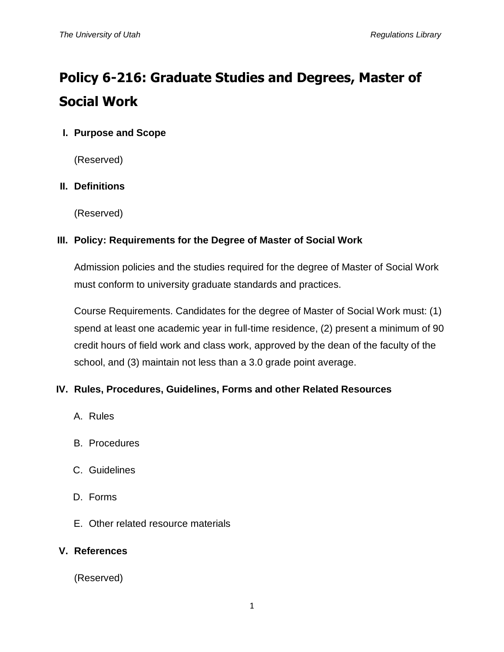# **Policy 6-216: Graduate Studies and Degrees, Master of Social Work**

## **I. Purpose and Scope**

(Reserved)

## **II. Definitions**

(Reserved)

## **III. Policy: Requirements for the Degree of Master of Social Work**

Admission policies and the studies required for the degree of Master of Social Work must conform to university graduate standards and practices.

Course Requirements. Candidates for the degree of Master of Social Work must: (1) spend at least one academic year in full-time residence, (2) present a minimum of 90 credit hours of field work and class work, approved by the dean of the faculty of the school, and (3) maintain not less than a 3.0 grade point average.

## **IV. Rules, Procedures, Guidelines, Forms and other Related Resources**

- A. Rules
- B. Procedures
- C. Guidelines
- D. Forms
- E. Other related resource materials

#### **V. References**

(Reserved)